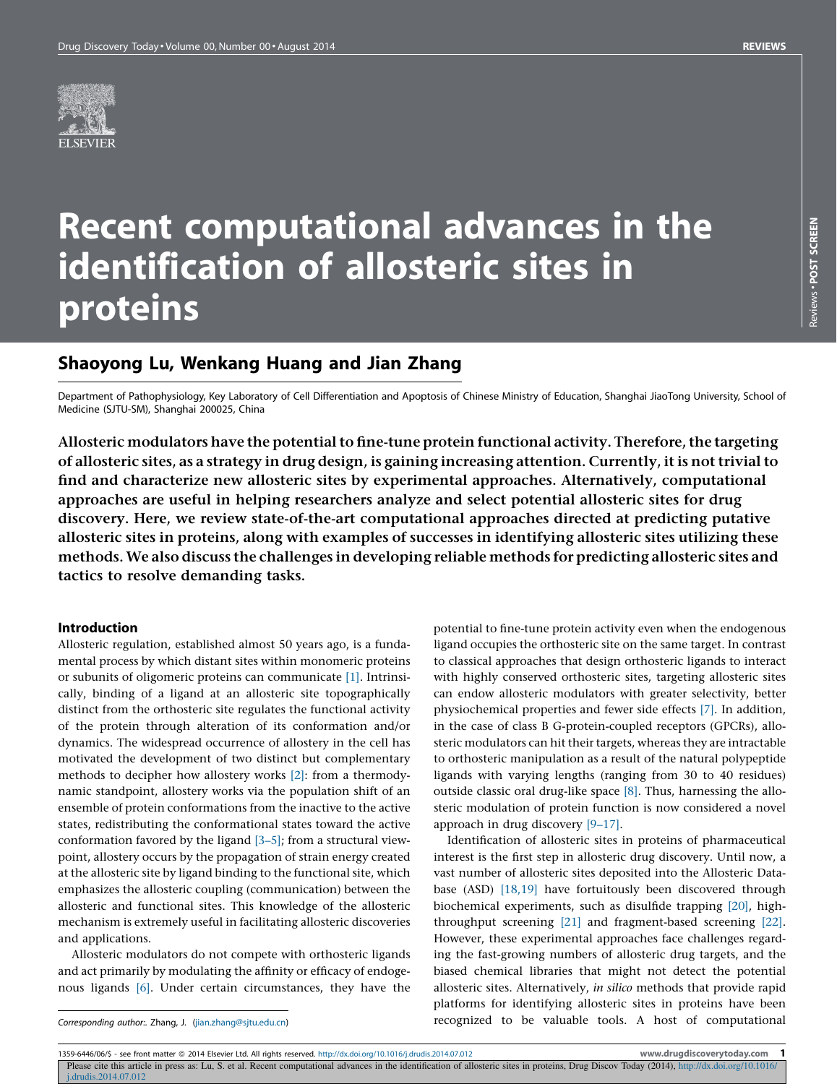

# Recent computational advances in the identification of allosteric sites in proteins

# Shaoyong Lu, Wenkang Huang and Jian Zhang

Department of Pathophysiology, Key Laboratory of Cell Differentiation and Apoptosis of Chinese Ministry of Education, Shanghai JiaoTong University, School of Medicine (SJTU-SM), Shanghai 200025, China

Allosteric modulators have the potential to fine-tune protein functional activity. Therefore, the targeting of allosteric sites, as a strategy in drug design, is gaining increasing attention. Currently, it is not trivialto find and characterize new allosteric sites by experimental approaches. Alternatively, computational approaches are useful in helping researchers analyze and select potential allosteric sites for drug discovery. Here, we review state-of-the-art computational approaches directed at predicting putative allosteric sites in proteins, along with examples of successes in identifying allosteric sites utilizing these methods. We also discuss the challenges in developing reliable methods for predicting allosteric sites and tactics to resolve demanding tasks.

#### Introduction

Allosteric regulation, established almost 50 years ago, is a fundamental process by which distant sites within monomeric proteins or subunits of oligomeric proteins can communicate [\[1\]](#page-4-0). Intrinsically, binding of a ligand at an allosteric site topographically distinct from the orthosteric site regulates the functional activity of the protein through alteration of its conformation and/or dynamics. The widespread occurrence of allostery in the cell has motivated the development of two distinct but complementary methods to decipher how allostery works [\[2\]](#page-4-0): from a thermodynamic standpoint, allostery works via the population shift of an ensemble of protein conformations from the inactive to the active states, redistributing the conformational states toward the active conformation favored by the ligand [\[3–5\];](#page-4-0) from a structural viewpoint, allostery occurs by the propagation of strain energy created at the allosteric site by ligand binding to the functional site, which emphasizes the allosteric coupling (communication) between the allosteric and functional sites. This knowledge of the allosteric mechanism is extremely useful in facilitating allosteric discoveries and applications.

Allosteric modulators do not compete with orthosteric ligands and act primarily by modulating the affinity or efficacy of endogenous ligands [\[6\].](#page-4-0) Under certain circumstances, they have the

potential to fine-tune protein activity even when the endogenous ligand occupies the orthosteric site on the same target. In contrast to classical approaches that design orthosteric ligands to interact with highly conserved orthosteric sites, targeting allosteric sites can endow allosteric modulators with greater selectivity, better physiochemical properties and fewer side effects [\[7\].](#page-4-0) In addition, in the case of class B G-protein-coupled receptors (GPCRs), allosteric modulators can hit their targets, whereas they are intractable to orthosteric manipulation as a result of the natural polypeptide ligands with varying lengths (ranging from 30 to 40 residues) outside classic oral drug-like space [\[8\]](#page-4-0). Thus, harnessing the allosteric modulation of protein function is now considered a novel approach in drug discovery [\[9–17\].](#page-4-0)

Identification of allosteric sites in proteins of pharmaceutical interest is the first step in allosteric drug discovery. Until now, a vast number of allosteric sites deposited into the Allosteric Database (ASD) [\[18,19\]](#page-4-0) have fortuitously been discovered through biochemical experiments, such as disulfide trapping [\[20\]](#page-4-0), highthroughput screening [\[21\]](#page-4-0) and fragment-based screening [\[22\].](#page-4-0) However, these experimental approaches face challenges regarding the fast-growing numbers of allosteric drug targets, and the biased chemical libraries that might not detect the potential allosteric sites. Alternatively, in silico methods that provide rapid platforms for identifying allosteric sites in proteins have been recognized to be valuable tools. A host of computational

Corresponding author:. Zhang, J. [\(jian.zhang@sjtu.edu.cn](mailto:jian.zhang@sjtu.edu.cn))

1359-6446/06/\$ - see front matter @ 2014 Elsevier Ltd. All rights reserved. <http://dx.doi.org/10.1016/j.drudis.2014.07.012> metal matter and the state of the state of the state of the state of the state of the state of the

Please cite this article in press as: Lu, S. et al. Recent computational advances in the identification of allosteric sites in proteins, Drug Discov Today (2014), [http://dx.doi.org/10.1016/](http://dx.doi.org/10.1016/j.drudis.2014.07.012) [j.drudis.2014.07.012](http://dx.doi.org/10.1016/j.drudis.2014.07.012)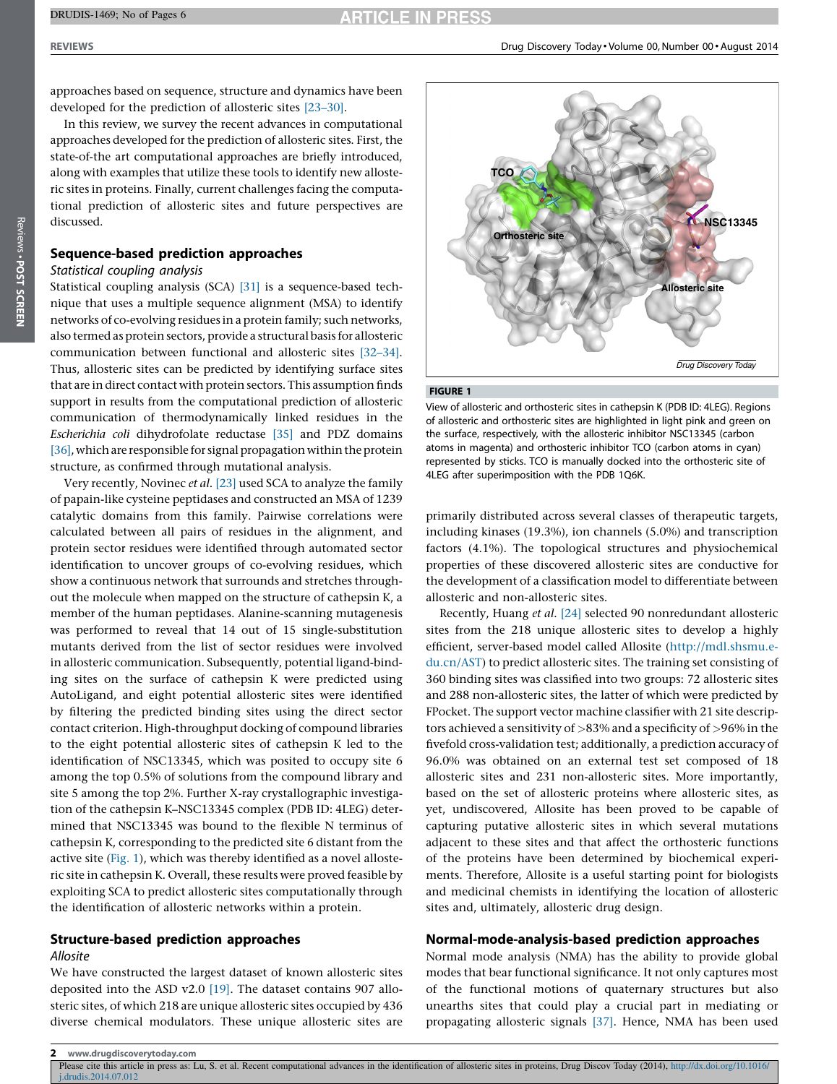approaches based on sequence, structure and dynamics have been developed for the prediction of allosteric sites [\[23–30\].](#page-4-0)

In this review, we survey the recent advances in computational approaches developed for the prediction of allosteric sites. First, the state-of-the art computational approaches are briefly introduced, along with examples that utilize these tools to identify new allosteric sites in proteins. Finally, current challenges facing the computational prediction of allosteric sites and future perspectives are discussed.

# Sequence-based prediction approaches

## Statistical coupling analysis

Statistical coupling analysis (SCA) [\[31\]](#page-4-0) is a sequence-based technique that uses a multiple sequence alignment (MSA) to identify networks of co-evolving residues ina protein family; such networks, also termed as protein sectors, provide a structural basis for allosteric communication between functional and allosteric sites [\[32–34\]](#page-4-0). Thus, allosteric sites can be predicted by identifying surface sites that are in direct contact with protein sectors. This assumption finds support in results from the computational prediction of allosteric communication of thermodynamically linked residues in the Escherichia coli dihydrofolate reductase [\[35\]](#page-4-0) and PDZ domains  $[36]$ , which are responsible for signal propagation within the protein structure, as confirmed through mutational analysis.

Very recently, Novinec et al. [\[23\]](#page-4-0) used SCA to analyze the family of papain-like cysteine peptidases and constructed an MSA of 1239 catalytic domains from this family. Pairwise correlations were calculated between all pairs of residues in the alignment, and protein sector residues were identified through automated sector identification to uncover groups of co-evolving residues, which show a continuous network that surrounds and stretches throughout the molecule when mapped on the structure of cathepsin K, a member of the human peptidases. Alanine-scanning mutagenesis was performed to reveal that 14 out of 15 single-substitution mutants derived from the list of sector residues were involved in allosteric communication. Subsequently, potential ligand-binding sites on the surface of cathepsin K were predicted using AutoLigand, and eight potential allosteric sites were identified by filtering the predicted binding sites using the direct sector contact criterion. High-throughput docking of compound libraries to the eight potential allosteric sites of cathepsin K led to the identification of NSC13345, which was posited to occupy site 6 among the top 0.5% of solutions from the compound library and site 5 among the top 2%. Further X-ray crystallographic investigation of the cathepsin K–NSC13345 complex (PDB ID: 4LEG) determined that NSC13345 was bound to the flexible N terminus of cathepsin K, corresponding to the predicted site 6 distant from the active site (Fig. 1), which was thereby identified as a novel allosteric site in cathepsin K. Overall, these results were proved feasible by exploiting SCA to predict allosteric sites computationally through the identification of allosteric networks within a protein.

# Structure-based prediction approaches

# Allosite

We have constructed the largest dataset of known allosteric sites deposited into the ASD v2.0 [\[19\]](#page-4-0). The dataset contains 907 allosteric sites, of which 218 are unique allosteric sites occupied by 436 diverse chemical modulators. These unique allosteric sites are



#### FIGURE 1

View of allosteric and orthosteric sites in cathepsin K (PDB ID: 4LEG). Regions of allosteric and orthosteric sites are highlighted in light pink and green on the surface, respectively, with the allosteric inhibitor NSC13345 (carbon atoms in magenta) and orthosteric inhibitor TCO (carbon atoms in cyan) represented by sticks. TCO is manually docked into the orthosteric site of 4LEG after superimposition with the PDB 1Q6K.

primarily distributed across several classes of therapeutic targets, including kinases (19.3%), ion channels (5.0%) and transcription factors (4.1%). The topological structures and physiochemical properties of these discovered allosteric sites are conductive for the development of a classification model to differentiate between allosteric and non-allosteric sites.

Recently, Huang et al. [\[24\]](#page-4-0) selected 90 nonredundant allosteric sites from the 218 unique allosteric sites to develop a highly efficient, server-based model called Allosite [\(http://mdl.shsmu.e](http://mdl.shsmu.edu.cn/AST)[du.cn/AST\)](http://mdl.shsmu.edu.cn/AST) to predict allosteric sites. The training set consisting of 360 binding sites was classified into two groups: 72 allosteric sites and 288 non-allosteric sites, the latter of which were predicted by FPocket. The support vector machine classifier with 21 site descriptors achieved a sensitivity of >83% and a specificity of >96% in the fivefold cross-validation test; additionally, a prediction accuracy of 96.0% was obtained on an external test set composed of 18 allosteric sites and 231 non-allosteric sites. More importantly, based on the set of allosteric proteins where allosteric sites, as yet, undiscovered, Allosite has been proved to be capable of capturing putative allosteric sites in which several mutations adjacent to these sites and that affect the orthosteric functions of the proteins have been determined by biochemical experiments. Therefore, Allosite is a useful starting point for biologists and medicinal chemists in identifying the location of allosteric sites and, ultimately, allosteric drug design.

## Normal-mode-analysis-based prediction approaches

Normal mode analysis (NMA) has the ability to provide global modes that bear functional significance. It not only captures most of the functional motions of quaternary structures but also unearths sites that could play a crucial part in mediating or propagating allosteric signals [\[37\]](#page-4-0). Hence, NMA has been used

Please cite this article in press as: Lu, S. et al. Recent computational advances in the identification of allosteric sites in proteins, Drug Discov Today (2014), [http://dx.doi.org/10.1016/](http://dx.doi.org/10.1016/j.drudis.2014.07.012) [j.drudis.2014.07.012](http://dx.doi.org/10.1016/j.drudis.2014.07.012)

<sup>2</sup> www.drugdiscoverytoday.com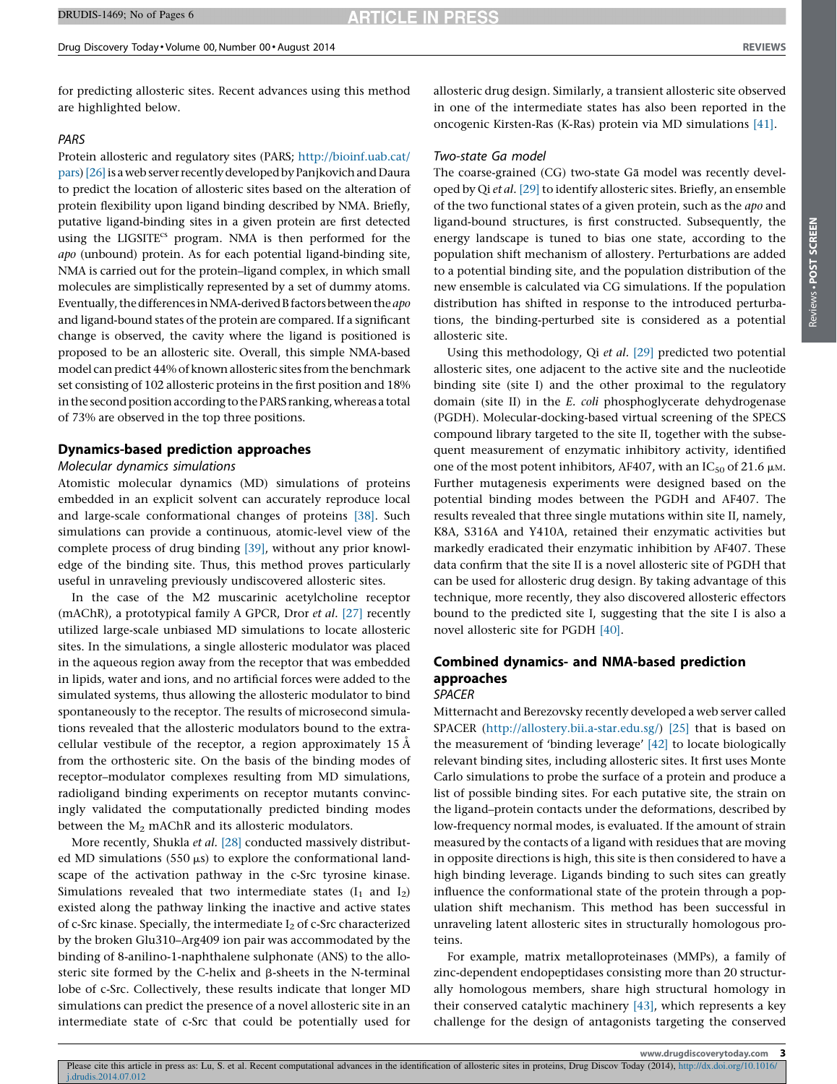for predicting allosteric sites. Recent advances using this method are highlighted below.

#### PARS

Protein allosteric and regulatory sites (PARS; [http://bioinf.uab.cat/](http://bioinf.uab.cat/pars) [pars](http://bioinf.uab.cat/pars)) [\[26\]](#page-4-0) is a web server recently developed by Panjkovich and Daura to predict the location of allosteric sites based on the alteration of protein flexibility upon ligand binding described by NMA. Briefly, putative ligand-binding sites in a given protein are first detected using the LIGSITE<sup>cs</sup> program. NMA is then performed for the apo (unbound) protein. As for each potential ligand-binding site, NMA is carried out for the protein–ligand complex, in which small molecules are simplistically represented by a set of dummy atoms. Eventually, the differences in NMA-derived B factors between the apo and ligand-bound states of the protein are compared. If a significant change is observed, the cavity where the ligand is positioned is proposed to be an allosteric site. Overall, this simple NMA-based model can predict 44% of known allosteric sites from the benchmark set consisting of 102 allosteric proteins in the first position and 18% in the second position according to the PARS ranking, whereas a total of 73% are observed in the top three positions.

## Dynamics-based prediction approaches

# Molecular dynamics simulations

Atomistic molecular dynamics (MD) simulations of proteins embedded in an explicit solvent can accurately reproduce local and large-scale conformational changes of proteins [\[38\]](#page-4-0). Such simulations can provide a continuous, atomic-level view of the complete process of drug binding [\[39\]](#page-4-0), without any prior knowledge of the binding site. Thus, this method proves particularly useful in unraveling previously undiscovered allosteric sites.

In the case of the M2 muscarinic acetylcholine receptor (mAChR), a prototypical family A GPCR, Dror et al. [\[27\]](#page-4-0) recently utilized large-scale unbiased MD simulations to locate allosteric sites. In the simulations, a single allosteric modulator was placed in the aqueous region away from the receptor that was embedded in lipids, water and ions, and no artificial forces were added to the simulated systems, thus allowing the allosteric modulator to bind spontaneously to the receptor. The results of microsecond simulations revealed that the allosteric modulators bound to the extracellular vestibule of the receptor, a region approximately 15  $\AA$ from the orthosteric site. On the basis of the binding modes of receptor–modulator complexes resulting from MD simulations, radioligand binding experiments on receptor mutants convincingly validated the computationally predicted binding modes between the  $M_2$  mAChR and its allosteric modulators.

More recently, Shukla et al. [\[28\]](#page-4-0) conducted massively distributed MD simulations (550  $\mu$ s) to explore the conformational landscape of the activation pathway in the c-Src tyrosine kinase. Simulations revealed that two intermediate states  $(I_1$  and  $I_2$ ) existed along the pathway linking the inactive and active states of c-Src kinase. Specially, the intermediate  $I_2$  of c-Src characterized by the broken Glu310–Arg409 ion pair was accommodated by the binding of 8-anilino-1-naphthalene sulphonate (ANS) to the allosteric site formed by the C-helix and  $\beta$ -sheets in the N-terminal lobe of c-Src. Collectively, these results indicate that longer MD simulations can predict the presence of a novel allosteric site in an intermediate state of c-Src that could be potentially used for

allosteric drug design. Similarly, a transient allosteric site observed in one of the intermediate states has also been reported in the oncogenic Kirsten-Ras (K-Ras) protein via MD simulations [\[41\].](#page-4-0)

#### Two-state Ga model

The coarse-grained (CG) two-state Ga model was recently devel-oped by Qi et al. [\[29\]](#page-4-0) to identify allosteric sites. Briefly, an ensemble of the two functional states of a given protein, such as the apo and ligand-bound structures, is first constructed. Subsequently, the energy landscape is tuned to bias one state, according to the population shift mechanism of allostery. Perturbations are added to a potential binding site, and the population distribution of the new ensemble is calculated via CG simulations. If the population distribution has shifted in response to the introduced perturbations, the binding-perturbed site is considered as a potential allosteric site.

Using this methodology, Qi et al. [\[29\]](#page-4-0) predicted two potential allosteric sites, one adjacent to the active site and the nucleotide binding site (site I) and the other proximal to the regulatory domain (site II) in the E. coli phosphoglycerate dehydrogenase (PGDH). Molecular-docking-based virtual screening of the SPECS compound library targeted to the site II, together with the subsequent measurement of enzymatic inhibitory activity, identified one of the most potent inhibitors, AF407, with an IC<sub>50</sub> of 21.6  $\mu$ M. Further mutagenesis experiments were designed based on the potential binding modes between the PGDH and AF407. The results revealed that three single mutations within site II, namely, K8A, S316A and Y410A, retained their enzymatic activities but markedly eradicated their enzymatic inhibition by AF407. These data confirm that the site II is a novel allosteric site of PGDH that can be used for allosteric drug design. By taking advantage of this technique, more recently, they also discovered allosteric effectors bound to the predicted site I, suggesting that the site I is also a novel allosteric site for PGDH [\[40\]](#page-4-0).

#### Combined dynamics- and NMA-based prediction approaches SPACER

Mitternacht and Berezovsky recently developed a web server called SPACER ([http://allostery.bii.a-star.edu.sg/\)](http://allostery.bii.a-star.edu.sg/) [\[25\]](#page-4-0) that is based on the measurement of 'binding leverage' [\[42\]](#page-4-0) to locate biologically relevant binding sites, including allosteric sites. It first uses Monte Carlo simulations to probe the surface of a protein and produce a list of possible binding sites. For each putative site, the strain on the ligand–protein contacts under the deformations, described by low-frequency normal modes, is evaluated. If the amount of strain measured by the contacts of a ligand with residues that are moving in opposite directions is high, this site is then considered to have a high binding leverage. Ligands binding to such sites can greatly influence the conformational state of the protein through a population shift mechanism. This method has been successful in unraveling latent allosteric sites in structurally homologous proteins.

For example, matrix metalloproteinases (MMPs), a family of zinc-dependent endopeptidases consisting more than 20 structurally homologous members, share high structural homology in their conserved catalytic machinery [\[43\],](#page-4-0) which represents a key challenge for the design of antagonists targeting the conserved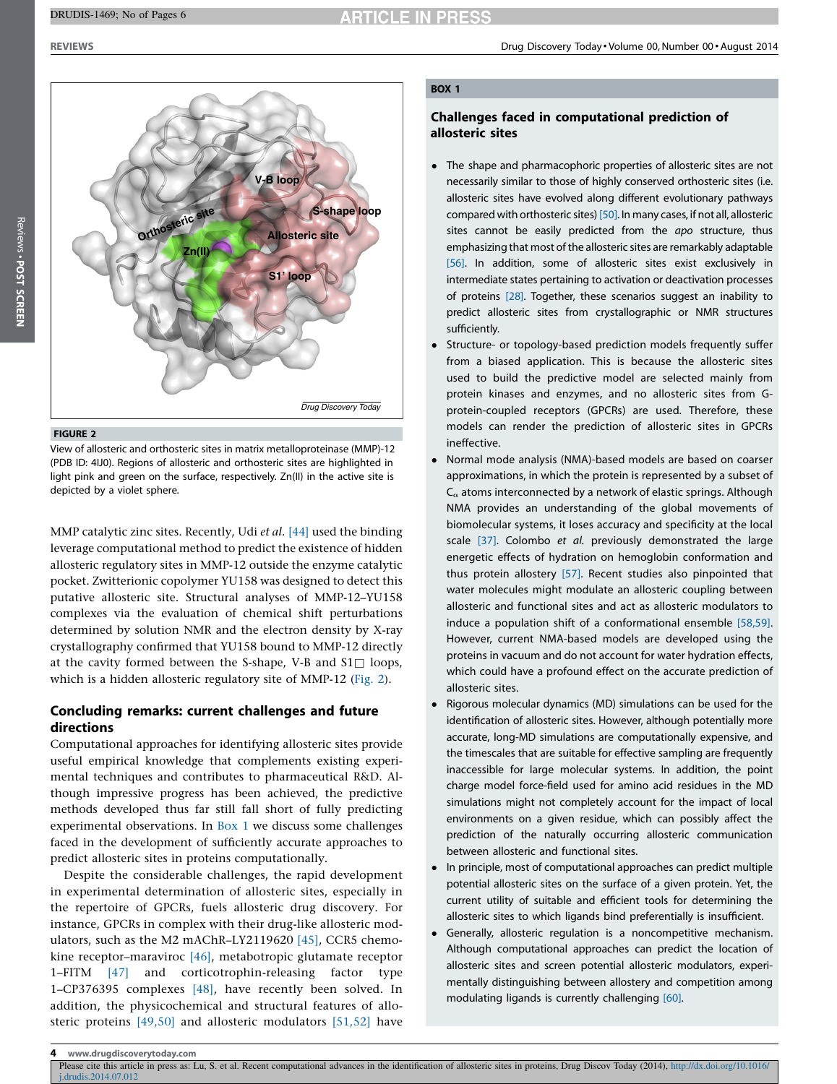

#### FIGURE 2

View of allosteric and orthosteric sites in matrix metalloproteinase (MMP)-12 (PDB ID: 4IJ0). Regions of allosteric and orthosteric sites are highlighted in light pink and green on the surface, respectively. Zn(II) in the active site is depicted by a violet sphere.

MMP catalytic zinc sites. Recently, Udi et al. [\[44\]](#page-4-0) used the binding leverage computational method to predict the existence of hidden allosteric regulatory sites in MMP-12 outside the enzyme catalytic pocket. Zwitterionic copolymer YU158 was designed to detect this putative allosteric site. Structural analyses of MMP-12–YU158 complexes via the evaluation of chemical shift perturbations determined by solution NMR and the electron density by X-ray crystallography confirmed that YU158 bound to MMP-12 directly at the cavity formed between the S-shape, V-B and  $S1\Box$  loops, which is a hidden allosteric regulatory site of MMP-12 (Fig. 2).

# Concluding remarks: current challenges and future directions

Computational approaches for identifying allosteric sites provide useful empirical knowledge that complements existing experimental techniques and contributes to pharmaceutical R&D. Although impressive progress has been achieved, the predictive methods developed thus far still fall short of fully predicting experimental observations. In Box 1 we discuss some challenges faced in the development of sufficiently accurate approaches to predict allosteric sites in proteins computationally.

Despite the considerable challenges, the rapid development in experimental determination of allosteric sites, especially in the repertoire of GPCRs, fuels allosteric drug discovery. For instance, GPCRs in complex with their drug-like allosteric modulators, such as the M2 mAChR–LY2119620 [\[45\]](#page-5-0), CCR5 chemokine receptor–maraviroc [\[46\],](#page-5-0) metabotropic glutamate receptor 1–FITM [\[47\]](#page-5-0) and corticotrophin-releasing factor type 1–CP376395 complexes [\[48\],](#page-5-0) have recently been solved. In addition, the physicochemical and structural features of allosteric proteins [\[49,50\]](#page-5-0) and allosteric modulators [\[51,52\]](#page-5-0) have

## BOX 1

# Challenges faced in computational prediction of allosteric sites

- The shape and pharmacophoric properties of allosteric sites are not necessarily similar to those of highly conserved orthosteric sites (i.e. allosteric sites have evolved along different evolutionary pathways compared with orthosteric sites) [\[50\].](#page-5-0) In many cases, if not all, allosteric sites cannot be easily predicted from the apo structure, thus emphasizing that most of the allosteric sites are remarkably adaptable [\[56\]](#page-5-0). In addition, some of allosteric sites exist exclusively in intermediate states pertaining to activation or deactivation processes of proteins [\[28\]](#page-4-0). Together, these scenarios suggest an inability to predict allosteric sites from crystallographic or NMR structures sufficiently.
- $\bullet$  Structure- or topology-based prediction models frequently suffer from a biased application. This is because the allosteric sites used to build the predictive model are selected mainly from protein kinases and enzymes, and no allosteric sites from Gprotein-coupled receptors (GPCRs) are used. Therefore, these models can render the prediction of allosteric sites in GPCRs ineffective.
- Normal mode analysis (NMA)-based models are based on coarser approximations, in which the protein is represented by a subset of  $C_{\alpha}$  atoms interconnected by a network of elastic springs. Although NMA provides an understanding of the global movements of biomolecular systems, it loses accuracy and specificity at the local scale [\[37\].](#page-4-0) Colombo et al. previously demonstrated the large energetic effects of hydration on hemoglobin conformation and thus protein allostery [\[57\]](#page-5-0). Recent studies also pinpointed that water molecules might modulate an allosteric coupling between allosteric and functional sites and act as allosteric modulators to induce a population shift of a conformational ensemble [\[58,59\]](#page-5-0). However, current NMA-based models are developed using the proteins in vacuum and do not account for water hydration effects, which could have a profound effect on the accurate prediction of allosteric sites.
- $\bullet$  Rigorous molecular dynamics (MD) simulations can be used for the identification of allosteric sites. However, although potentially more accurate, long-MD simulations are computationally expensive, and the timescales that are suitable for effective sampling are frequently inaccessible for large molecular systems. In addition, the point charge model force-field used for amino acid residues in the MD simulations might not completely account for the impact of local environments on a given residue, which can possibly affect the prediction of the naturally occurring allosteric communication between allosteric and functional sites.
- In principle, most of computational approaches can predict multiple potential allosteric sites on the surface of a given protein. Yet, the current utility of suitable and efficient tools for determining the allosteric sites to which ligands bind preferentially is insufficient.
- Generally, allosteric regulation is a noncompetitive mechanism. Although computational approaches can predict the location of allosteric sites and screen potential allosteric modulators, experimentally distinguishing between allostery and competition among modulating ligands is currently challenging [\[60\].](#page-5-0)

www.drugdiscoverytoday.com

Please cite this article in press as: Lu, S. et al. Recent computational advances in the identification of allosteric sites in proteins, Drug Discov Today (2014), [http://dx.doi.org/10.1016/](http://dx.doi.org/10.1016/j.drudis.2014.07.012) [j.drudis.2014.07.012](http://dx.doi.org/10.1016/j.drudis.2014.07.012)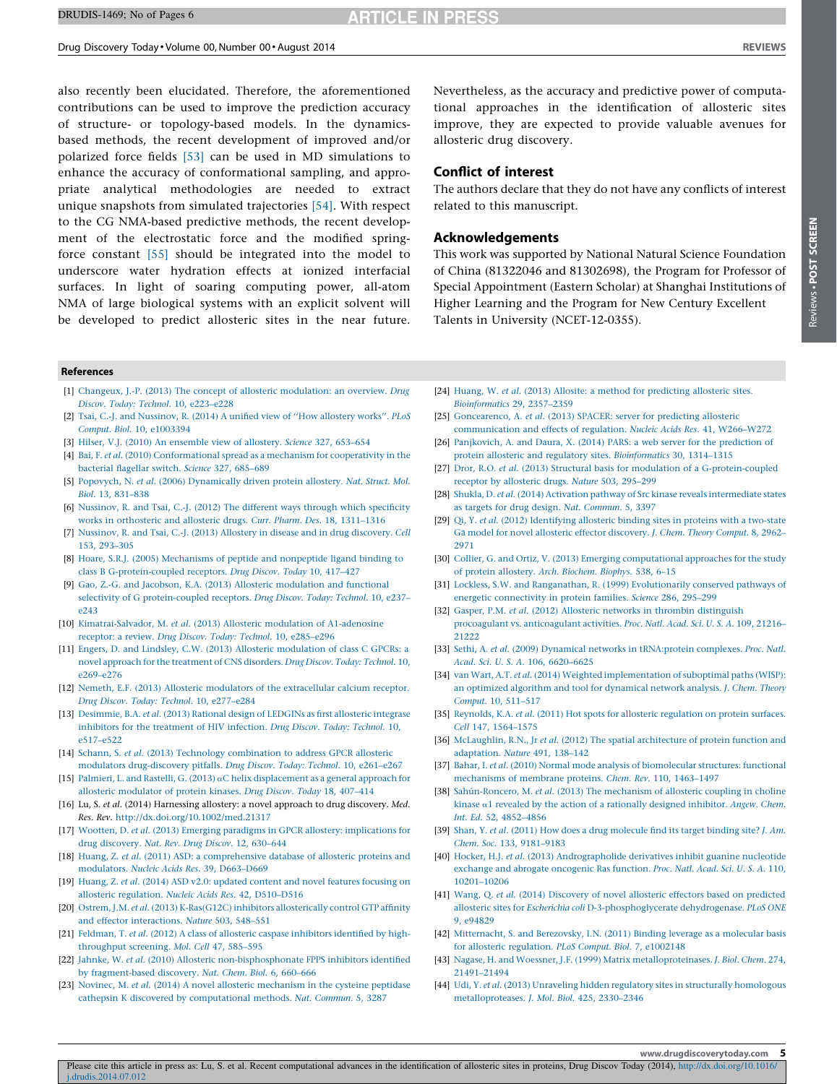#### <span id="page-4-0"></span>Drug Discovery Today - Volume 00, Number 00 - August 2014 REVIEWS

Reviews -

POST SCREEN

Reviews . POST SCREEN

also recently been elucidated. Therefore, the aforementioned contributions can be used to improve the prediction accuracy of structure- or topology-based models. In the dynamicsbased methods, the recent development of improved and/or polarized force fields [\[53\]](#page-5-0) can be used in MD simulations to enhance the accuracy of conformational sampling, and appropriate analytical methodologies are needed to extract unique snapshots from simulated trajectories [\[54\].](#page-5-0) With respect to the CG NMA-based predictive methods, the recent development of the electrostatic force and the modified springforce constant [\[55\]](#page-5-0) should be integrated into the model to underscore water hydration effects at ionized interfacial surfaces. In light of soaring computing power, all-atom NMA of large biological systems with an explicit solvent will be developed to predict allosteric sites in the near future.

References

- [1] Changeux, J.-P. (2013) The concept of allosteric [modulation:](http://refhub.elsevier.com/S1359-6446(14)00283-9/sbref0005) an overview. Drug Discov. Today: Technol. 10, [e223–e228](http://refhub.elsevier.com/S1359-6446(14)00283-9/sbref0005)
- [2] Tsai, C.-J. and [Nussinov,](http://refhub.elsevier.com/S1359-6446(14)00283-9/sbref0010) R. (2014) A unified view of ''How allostery works''. PLoS Comput. Biol. 10, [e1003394](http://refhub.elsevier.com/S1359-6446(14)00283-9/sbref0010)
- [3] Hilser, V.J. (2010) An [ensemble](http://refhub.elsevier.com/S1359-6446(14)00283-9/sbref0015) view of allostery. Science 327, 653-654
- [4] Bai, F. et al. (2010) [Conformational](http://refhub.elsevier.com/S1359-6446(14)00283-9/sbref0020) spread as a mechanism for cooperativity in the [bacterial](http://refhub.elsevier.com/S1359-6446(14)00283-9/sbref0020) flagellar switch. Science 327, 685–689
- [5] Popovych, N. et al. (2006) [Dynamically](http://refhub.elsevier.com/S1359-6446(14)00283-9/sbref0025) driven protein allostery. Nat. Struct. Mol. Biol. 13, [831–838](http://refhub.elsevier.com/S1359-6446(14)00283-9/sbref0025)
- [6] [Nussinov,](http://refhub.elsevier.com/S1359-6446(14)00283-9/sbref0030) R. and Tsai, C.-J. (2012) The different ways through which specificity works in [orthosteric](http://refhub.elsevier.com/S1359-6446(14)00283-9/sbref0030) and allosteric drugs. Curr. Pharm. Des. 18, 1311-1316
- [7] Nussinov, R. and Tsai, C.-J. (2013) Allostery in disease and in drug [discovery.](http://refhub.elsevier.com/S1359-6446(14)00283-9/sbref0035) Cell 153, [293–305](http://refhub.elsevier.com/S1359-6446(14)00283-9/sbref0035)
- [8] Hoare, S.R.J. (2005) [Mechanisms](http://refhub.elsevier.com/S1359-6446(14)00283-9/sbref0040) of peptide and nonpeptide ligand binding to class B [G-protein-coupled](http://refhub.elsevier.com/S1359-6446(14)00283-9/sbref0040) receptors. Drug Discov. Today 10, 417–427
- [9] Gao, Z.-G. and Jacobson, K.A. (2013) Allosteric [modulation](http://refhub.elsevier.com/S1359-6446(14)00283-9/sbref0045) and functional selectivity of G [protein-coupled](http://refhub.elsevier.com/S1359-6446(14)00283-9/sbref0045) receptors. Drug Discov. Today: Technol. 10, e237– [e243](http://refhub.elsevier.com/S1359-6446(14)00283-9/sbref0045)
- [10] [Kimatrai-Salvador,](http://refhub.elsevier.com/S1359-6446(14)00283-9/sbref0050) M. et al. (2013) Allosteric modulation of A1-adenosine receptor: a review. Drug Discov. Today: Technol. 10, [e285–e296](http://refhub.elsevier.com/S1359-6446(14)00283-9/sbref0050)
- [11] Engers, D. and Lindsley, C.W. (2013) Allosteric [modulation](http://refhub.elsevier.com/S1359-6446(14)00283-9/sbref0055) of class C GPCRs: a novel approach for the [treatment](http://refhub.elsevier.com/S1359-6446(14)00283-9/sbref0055) of CNS disorders. Drug Discov. Today: Technol. 10, [e269–e276](http://refhub.elsevier.com/S1359-6446(14)00283-9/sbref0055)
- [12] Nemeth, E.F. (2013) Allosteric modulators of the [extracellular](http://refhub.elsevier.com/S1359-6446(14)00283-9/sbref0060) calcium receptor. Drug Discov. Today: Technol. 10, [e277–e284](http://refhub.elsevier.com/S1359-6446(14)00283-9/sbref0060)
- [13] [Desimmie,](http://refhub.elsevier.com/S1359-6446(14)00283-9/sbref0065) B.A. et al. (2013) Rational design of LEDGINs as first allosteric integrase inhibitors for the [treatment](http://refhub.elsevier.com/S1359-6446(14)00283-9/sbref0065) of HIV infection. Drug Discov. Today: Technol. 10, [e517–e522](http://refhub.elsevier.com/S1359-6446(14)00283-9/sbref0065)
- [14] Schann, S. et al. (2013) Technology [combination](http://refhub.elsevier.com/S1359-6446(14)00283-9/sbref0070) to address GPCR allosteric modulators [drug-discovery](http://refhub.elsevier.com/S1359-6446(14)00283-9/sbref0070) pitfalls. Drug Discov. Today: Technol. 10, e261–e267
- [15] Palmieri, L. and Rastelli, G. (2013) aC helix [displacement](http://refhub.elsevier.com/S1359-6446(14)00283-9/sbref0075) as a general approach for allosteric [modulator](http://refhub.elsevier.com/S1359-6446(14)00283-9/sbref0075) of protein kinases. Drug Discov. Today 18, 407–414
- [16] Lu, S. et al. (2014) Harnessing allostery: a novel approach to drug discovery. Med. Res. Rev. <http://dx.doi.org/10.1002/med.21317>
- [17] Wootten, D. et al. (2013) Emerging paradigms in GPCR allostery: [implications](http://refhub.elsevier.com/S1359-6446(14)00283-9/sbref0085) for drug [discovery.](http://refhub.elsevier.com/S1359-6446(14)00283-9/sbref0085) Nat. Rev. Drug Discov. 12, 630–644
- [18] Huang, Z. et al. (2011) ASD: a [comprehensive](http://refhub.elsevier.com/S1359-6446(14)00283-9/sbref0090) database of allosteric proteins and [modulators.](http://refhub.elsevier.com/S1359-6446(14)00283-9/sbref0090) Nucleic Acids Res. 39, D663–D669
- [19] Huang, Z. et al. (2014) ASD v2.0: updated content and novel features [focusing](http://refhub.elsevier.com/S1359-6446(14)00283-9/sbref0095) on allosteric regulation. Nucleic Acids Res. 42, [D510–D516](http://refhub.elsevier.com/S1359-6446(14)00283-9/sbref0095)
- [20] Ostrem, J.M. et al. (2013) [K-Ras\(G12C\)](http://refhub.elsevier.com/S1359-6446(14)00283-9/sbref0100) inhibitors allosterically control GTP affinity and effector [interactions.](http://refhub.elsevier.com/S1359-6446(14)00283-9/sbref0100) Nature 503, 548–551
- [21] Feldman, T. et al. (2012) A class of allosteric caspase [inhibitors](http://refhub.elsevier.com/S1359-6446(14)00283-9/sbref0105) identified by high[throughput](http://refhub.elsevier.com/S1359-6446(14)00283-9/sbref0105) screening. Mol. Cell 47, 585–595
- [22] Jahnke, W. et al. (2010) Allosteric [non-bisphosphonate](http://refhub.elsevier.com/S1359-6446(14)00283-9/sbref0110) FPPS inhibitors identified by [fragment-based](http://refhub.elsevier.com/S1359-6446(14)00283-9/sbref0110) discovery. Nat. Chem. Biol. 6, 660–666
- [23] Novinec, M. et al. (2014) A novel allosteric [mechanism](http://refhub.elsevier.com/S1359-6446(14)00283-9/sbref0115) in the cysteine peptidase cathepsin K discovered by [computational](http://refhub.elsevier.com/S1359-6446(14)00283-9/sbref0115) methods. Nat. Commun. 5, 3287

Nevertheless, as the accuracy and predictive power of computational approaches in the identification of allosteric sites improve, they are expected to provide valuable avenues for allosteric drug discovery.

#### Conflict of interest

The authors declare that they do not have any conflicts of interest related to this manuscript.

#### Acknowledgements

This work was supported by National Natural Science Foundation of China (81322046 and 81302698), the Program for Professor of Special Appointment (Eastern Scholar) at Shanghai Institutions of Higher Learning and the Program for New Century Excellent Talents in University (NCET-12-0355).

- [24] Huang, W. et al. (2013) Allosite: a method for [predicting](http://refhub.elsevier.com/S1359-6446(14)00283-9/sbref0120) allosteric sites. [Bioinformatics](http://refhub.elsevier.com/S1359-6446(14)00283-9/sbref0120) 29, 2357–2359
- [25] [Goncearenco,](http://refhub.elsevier.com/S1359-6446(14)00283-9/sbref0125) A. et al. (2013) SPACER: server for predicting allosteric [communication](http://refhub.elsevier.com/S1359-6446(14)00283-9/sbref0125) and effects of regulation. Nucleic Acids Res. 41, W266–W272
- [26] [Panjkovich,](http://refhub.elsevier.com/S1359-6446(14)00283-9/sbref0130) A. and Daura, X. (2014) PARS: a web server for the prediction of protein allosteric and regulatory sites. [Bioinformatics](http://refhub.elsevier.com/S1359-6446(14)00283-9/sbref0130) 30, 1314–1315
- [27] Dror, R.O. et al. (2013) Structural basis for modulation of a [G-protein-coupled](http://refhub.elsevier.com/S1359-6446(14)00283-9/sbref0135) receptor by [allosteric](http://refhub.elsevier.com/S1359-6446(14)00283-9/sbref0135) drugs. Nature 503, 295–299
- [28] Shukla, D. et al. (2014) Activation pathway of Src kinase reveals [intermediate](http://refhub.elsevier.com/S1359-6446(14)00283-9/sbref0140) states as targets for drug design. Nat. [Commun.](http://refhub.elsevier.com/S1359-6446(14)00283-9/sbref0140) 5, 3397
- [29] Qi, Y. et al. (2012) [Identifying](http://refhub.elsevier.com/S1359-6446(14)00283-9/sbref0145) allosteric binding sites in proteins with a two-state Gā model for novel allosteric effector [discovery.](http://refhub.elsevier.com/S1359-6446(14)00283-9/sbref0145) J. Chem. Theory Comput. 8, 2962-[2971](http://refhub.elsevier.com/S1359-6446(14)00283-9/sbref0145)
- [30] Collier, G. and Ortiz, V. (2013) Emerging [computational](http://refhub.elsevier.com/S1359-6446(14)00283-9/sbref0150) approaches for the study of protein [allostery.](http://refhub.elsevier.com/S1359-6446(14)00283-9/sbref0150) Arch. Biochem. Biophys. 538, 6–15
- [31] Lockless, S.W. and Ranganathan, R. (1999) [Evolutionarily](http://refhub.elsevier.com/S1359-6446(14)00283-9/sbref0155) conserved pathways of energetic [connectivity](http://refhub.elsevier.com/S1359-6446(14)00283-9/sbref0155) in protein families. Science 286, 295–299
- [32] Gasper, P.M. et al. (2012) Allosteric networks in thrombin [distinguish](http://refhub.elsevier.com/S1359-6446(14)00283-9/sbref0160) procoagulant vs. [anticoagulant](http://refhub.elsevier.com/S1359-6446(14)00283-9/sbref0160) activities. Proc. Natl. Acad. Sci. U. S. A. 109, 21216– [21222](http://refhub.elsevier.com/S1359-6446(14)00283-9/sbref0160)
- [33] Sethi, A. et al. (2009) Dynamical networks in [tRNA:protein](http://refhub.elsevier.com/S1359-6446(14)00283-9/sbref0165) complexes. Proc. Natl. Acad. Sci. U. S. A. 106, [6620–6625](http://refhub.elsevier.com/S1359-6446(14)00283-9/sbref0165)
- [34] van Wart, A.T. et al. (2014) Weighted [implementation](http://refhub.elsevier.com/S1359-6446(14)00283-9/sbref0170) of suboptimal paths (WISP): an optimized algorithm and tool for [dynamical](http://refhub.elsevier.com/S1359-6446(14)00283-9/sbref0170) network analysis. J. Chem. Theory Comput. 10, [511–517](http://refhub.elsevier.com/S1359-6446(14)00283-9/sbref0170)
- [35] Reynolds, K.A. et al. (2011) Hot spots for allosteric [regulation](http://refhub.elsevier.com/S1359-6446(14)00283-9/sbref0175) on protein surfaces. Cell 147, [1564–1575](http://refhub.elsevier.com/S1359-6446(14)00283-9/sbref0175)
- [36] [McLaughlin,](http://refhub.elsevier.com/S1359-6446(14)00283-9/sbref0180) R.N., Jr et al. (2012) The spatial architecture of protein function and [adaptation.](http://refhub.elsevier.com/S1359-6446(14)00283-9/sbref0180) Nature 491, 138–142
- [37] Bahar, I. et al. (2010) Normal mode analysis of [biomolecular](http://refhub.elsevier.com/S1359-6446(14)00283-9/sbref0185) structures: functional [mechanisms](http://refhub.elsevier.com/S1359-6446(14)00283-9/sbref0185) of membrane proteins. Chem. Rev. 110, 1463–1497
- [38] Sahún-Roncero, M. et al. (2013) The mechanism of allosteric coupling in choline kinase  $\alpha$ 1 revealed by the action of a [rationally](http://refhub.elsevier.com/S1359-6446(14)00283-9/sbref0190) designed inhibitor. Angew. Chem. Int. Ed. 52, [4852–4856](http://refhub.elsevier.com/S1359-6446(14)00283-9/sbref0190)
- [39] Shan, Y. et al. (2011) How does a drug [molecule](http://refhub.elsevier.com/S1359-6446(14)00283-9/sbref0195) find its target binding site? J. Am. Chem. Soc. 133, [9181–9183](http://refhub.elsevier.com/S1359-6446(14)00283-9/sbref0195)
- [40] Hocker, H.J. et al. (2013) [Andrographolide](http://refhub.elsevier.com/S1359-6446(14)00283-9/sbref0200) derivatives inhibit guanine nucleotide exchange and abrogate [oncogenic](http://refhub.elsevier.com/S1359-6446(14)00283-9/sbref0200) Ras function. Proc. Natl. Acad. Sci. U. S. A. 110, [10201–10206](http://refhub.elsevier.com/S1359-6446(14)00283-9/sbref0200)
- [41] Wang, Q. et al. (2014) [Discovery](http://refhub.elsevier.com/S1359-6446(14)00283-9/sbref0205) of novel allosteric effectors based on predicted allosteric sites for Escherichia coli [D-3-phosphoglycerate](http://refhub.elsevier.com/S1359-6446(14)00283-9/sbref0205) dehydrogenase. PLoS ONE 9, [e94829](http://refhub.elsevier.com/S1359-6446(14)00283-9/sbref0205)
- [42] [Mitternacht,](http://refhub.elsevier.com/S1359-6446(14)00283-9/sbref0210) S. and Berezovsky, I.N. (2011) Binding leverage as a molecular basis for allosteric [regulation.](http://refhub.elsevier.com/S1359-6446(14)00283-9/sbref0210) PLoS Comput. Biol. 7, e1002148
- [43] Nagase, H. and Woessner, J.F. (1999) Matrix [metalloproteinases.](http://refhub.elsevier.com/S1359-6446(14)00283-9/sbref0215) J. Biol. Chem. 274, [21491–21494](http://refhub.elsevier.com/S1359-6446(14)00283-9/sbref0215)
- [44] Udi, Y. et al. (2013) Unraveling hidden regulatory sites in structurally [homologous](http://refhub.elsevier.com/S1359-6446(14)00283-9/sbref0220) [metalloproteases.](http://refhub.elsevier.com/S1359-6446(14)00283-9/sbref0220) J. Mol. Biol. 425, 2330–2346